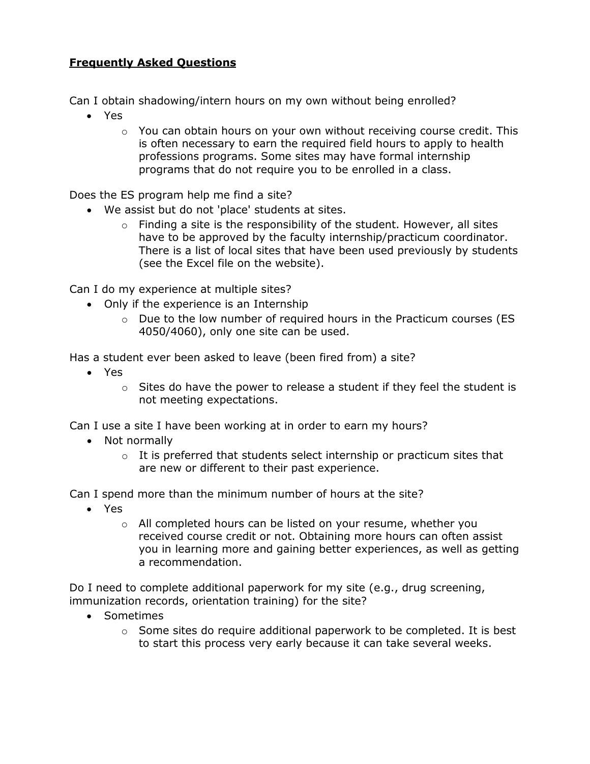## **Frequently Asked Questions**

Can I obtain shadowing/intern hours on my own without being enrolled?

- Yes
	- $\circ$  You can obtain hours on your own without receiving course credit. This is often necessary to earn the required field hours to apply to health professions programs. Some sites may have formal internship programs that do not require you to be enrolled in a class.

Does the ES program help me find a site?

- We assist but do not 'place' students at sites.
	- $\circ$  Finding a site is the responsibility of the student. However, all sites have to be approved by the faculty internship/practicum coordinator. There is a list of local sites that have been used previously by students (see the Excel file on the website).

Can I do my experience at multiple sites?

- Only if the experience is an Internship
	- $\circ$  Due to the low number of required hours in the Practicum courses (ES 4050/4060), only one site can be used.

Has a student ever been asked to leave (been fired from) a site?

- Yes
	- $\circ$  Sites do have the power to release a student if they feel the student is not meeting expectations.

Can I use a site I have been working at in order to earn my hours?

- Not normally
	- $\circ$  It is preferred that students select internship or practicum sites that are new or different to their past experience.

Can I spend more than the minimum number of hours at the site?

- Yes
	- o All completed hours can be listed on your resume, whether you received course credit or not. Obtaining more hours can often assist you in learning more and gaining better experiences, as well as getting a recommendation.

Do I need to complete additional paperwork for my site (e.g., drug screening, immunization records, orientation training) for the site?

- Sometimes
	- $\circ$  Some sites do require additional paperwork to be completed. It is best to start this process very early because it can take several weeks.